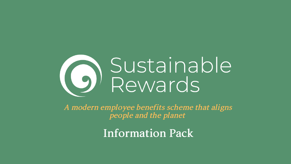# Sustainable<br>Rewards

A modern employee benefits scheme that aligns people and the planet

**Information Pack**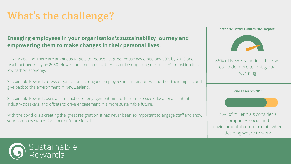## **Engaging employees in your organisation's sustainability journey and empowering them to make changes in their personal lives.**

# **What' s the challenge?**

In New Zealand, there are ambitious targets to reduce net greenhouse gas emissions 50% by 2030 and reach net neutrality by 2050. Now is the time to go further faster in supporting our society's transition to a low carbon economy.

Sustainable Rewards allows organisations to engage employees in sustainability, report on their impact, and give back to the environment in New Zealand.

Sustainable Rewards uses a combination of engagement methods, from bitesize educational content, industry speakers, and offsets to drive engagement in a more sustainable future.

With the covid crisis creating the 'great resignation' it has never been so important to engage staff and show your company stands for a better future for all.



### 86% of New Zealanders think we could do more to limit global warming

76% of millennials consider a companies social and environmental commitments when deciding where to work

#### **Katar NZ Better Futures 2022 Report**



**Cone Research 2016**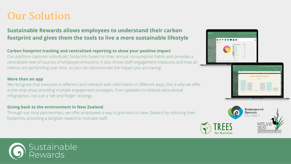#### **Carbon footprint tracking and centralised reporting to show your positive impact**

Our platform captures individuals' footprints based on their annual consumption habits and provides a centralised view of sources of employee emissions. It also shows staff engagement measures and how all metrics are performing over time, so you can demonstrate the impact you are having.

#### **More than an app**

We recognise that everyone is different and interacts with information in different ways, this is why we offer a one-stop-shop providing multiple engagement strategies, from speakers to bitesize educational infographics, not just a 'set and forget' strategy.

#### **Giving back to the environment in New Zealand**

Through our local partnerships, we offer employees a way to give back to New Zealand by reducing their footprints, providing a tangible reward to motivate staff.











## **Sustainable Rewards allows employees to understand their carbon footprint and gives them the tools to live a more sustainable lifestyle**

# **Our Solution**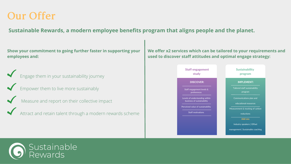**Show your commitment to going further faster in supporting your employees and:**

Engage them in your sustainability journey

Empower them to live more sustainably

Measure and report on their collective impact

Attract and retain talent through a modern rewards scheme



## **Sustainable Rewards, a modern employee benefits program that aligns people and the planet.**

# **Our Offer**

#### **We offer x2 services which can be tailored to your requirements and used to discover staff attitudes and optimal engage strategy:**

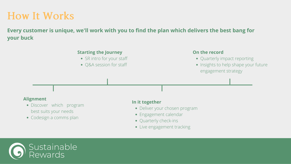**Every customer is unique, we'll work with you to find the plan which delivers the best bang for your buck**

# **How It Works**

- Discover which program best suits your needs
- Codesign a comms plan

#### **Alignment**

- Quarterly impact reporting
- Insights to help shape your future engagement strategy

#### **Starting the Journey**

- SR intro for your staff
- Q&A session for staff

#### **In it together**

- Deliver your chosen program
- Engagement calendar
- Quarterly check-ins
- Live engagement tracking



#### **On the record**